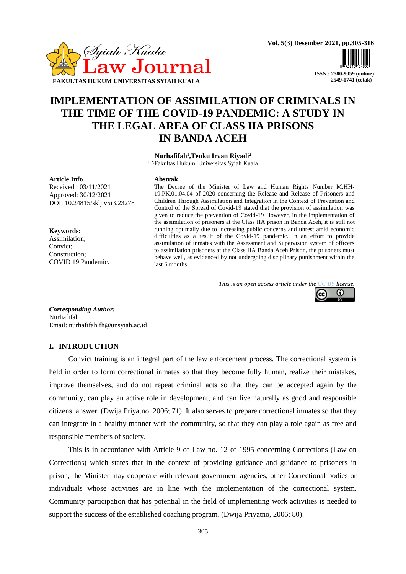

 **ISSN : 2580-9059 (online) 2549-1741 (cetak)**

# **IMPLEMENTATION OF ASSIMILATION OF CRIMINALS IN THE TIME OF THE COVID-19 PANDEMIC: A STUDY IN THE LEGAL AREA OF CLASS IIA PRISONS IN BANDA ACEH**

**Nurhafifah<sup>1</sup> ,Teuku Irvan Riyadi<sup>2</sup>**

1.2)Fakultas Hukum, Universitas Syiah Kuala

#### **Article Info Abstrak**

Received : 03/11/2021 Approved: 30/12/2021 DOI: 10.24815/sklj.v5i3.23278

**Keywords:** Assimilation; Convict; Construction; COVID 19 Pandemic.

The Decree of the Minister of Law and Human Rights Number M.HH-19.PK.01.04.04 of 2020 concerning the Release and Release of Prisoners and Children Through Assimilation and Integration in the Context of Prevention and Control of the Spread of Covid-19 stated that the provision of assimilation was given to reduce the prevention of Covid-19 However, in the implementation of the assimilation of prisoners at the Class IIA prison in Banda Aceh, it is still not running optimally due to increasing public concerns and unrest amid economic difficulties as a result of the Covid-19 pandemic. In an effort to provide assimilation of inmates with the Assessment and Supervision system of officers to assimilation prisoners at the Class IIA Banda Aceh Prison, the prisoners must behave well, as evidenced by not undergoing disciplinary punishment within the last 6 months.

*This is an open access article under the [CC BY](https://creativecommons.org/licenses/by/4.0/) license.*



*Corresponding Author:* Nurhafifah Email: nurhafifah.fh@unsyiah.ac.id

### **I. INTRODUCTION**

Convict training is an integral part of the law enforcement process. The correctional system is held in order to form correctional inmates so that they become fully human, realize their mistakes, improve themselves, and do not repeat criminal acts so that they can be accepted again by the community, can play an active role in development, and can live naturally as good and responsible citizens. answer. (Dwija Priyatno, 2006; 71). It also serves to prepare correctional inmates so that they can integrate in a healthy manner with the community, so that they can play a role again as free and responsible members of society.

This is in accordance with Article 9 of Law no. 12 of 1995 concerning Corrections (Law on Corrections) which states that in the context of providing guidance and guidance to prisoners in prison, the Minister may cooperate with relevant government agencies, other Correctional bodies or individuals whose activities are in line with the implementation of the correctional system. Community participation that has potential in the field of implementing work activities is needed to support the success of the established coaching program. (Dwija Priyatno, 2006; 80).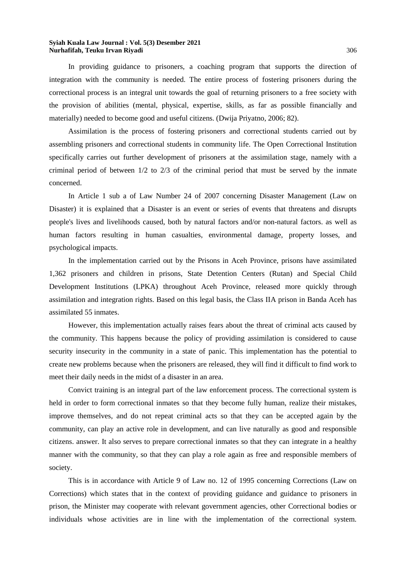In providing guidance to prisoners, a coaching program that supports the direction of integration with the community is needed. The entire process of fostering prisoners during the correctional process is an integral unit towards the goal of returning prisoners to a free society with the provision of abilities (mental, physical, expertise, skills, as far as possible financially and materially) needed to become good and useful citizens. (Dwija Priyatno, 2006; 82).

Assimilation is the process of fostering prisoners and correctional students carried out by assembling prisoners and correctional students in community life. The Open Correctional Institution specifically carries out further development of prisoners at the assimilation stage, namely with a criminal period of between  $1/2$  to  $2/3$  of the criminal period that must be served by the inmate concerned.

In Article 1 sub a of Law Number 24 of 2007 concerning Disaster Management (Law on Disaster) it is explained that a Disaster is an event or series of events that threatens and disrupts people's lives and livelihoods caused, both by natural factors and/or non-natural factors. as well as human factors resulting in human casualties, environmental damage, property losses, and psychological impacts.

In the implementation carried out by the Prisons in Aceh Province, prisons have assimilated 1,362 prisoners and children in prisons, State Detention Centers (Rutan) and Special Child Development Institutions (LPKA) throughout Aceh Province, released more quickly through assimilation and integration rights. Based on this legal basis, the Class IIA prison in Banda Aceh has assimilated 55 inmates.

However, this implementation actually raises fears about the threat of criminal acts caused by the community. This happens because the policy of providing assimilation is considered to cause security insecurity in the community in a state of panic. This implementation has the potential to create new problems because when the prisoners are released, they will find it difficult to find work to meet their daily needs in the midst of a disaster in an area.

Convict training is an integral part of the law enforcement process. The correctional system is held in order to form correctional inmates so that they become fully human, realize their mistakes, improve themselves, and do not repeat criminal acts so that they can be accepted again by the community, can play an active role in development, and can live naturally as good and responsible citizens. answer. It also serves to prepare correctional inmates so that they can integrate in a healthy manner with the community, so that they can play a role again as free and responsible members of society.

This is in accordance with Article 9 of Law no. 12 of 1995 concerning Corrections (Law on Corrections) which states that in the context of providing guidance and guidance to prisoners in prison, the Minister may cooperate with relevant government agencies, other Correctional bodies or individuals whose activities are in line with the implementation of the correctional system.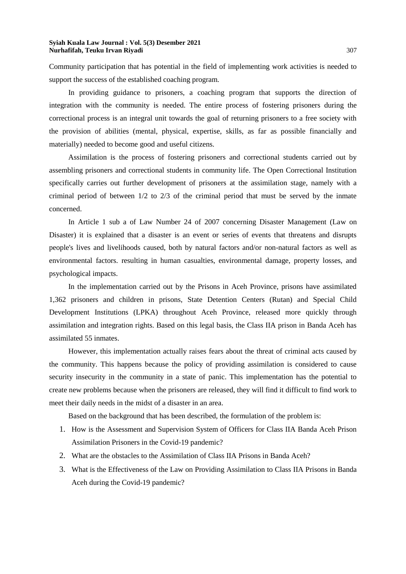Community participation that has potential in the field of implementing work activities is needed to support the success of the established coaching program.

In providing guidance to prisoners, a coaching program that supports the direction of integration with the community is needed. The entire process of fostering prisoners during the correctional process is an integral unit towards the goal of returning prisoners to a free society with the provision of abilities (mental, physical, expertise, skills, as far as possible financially and materially) needed to become good and useful citizens.

Assimilation is the process of fostering prisoners and correctional students carried out by assembling prisoners and correctional students in community life. The Open Correctional Institution specifically carries out further development of prisoners at the assimilation stage, namely with a criminal period of between  $1/2$  to  $2/3$  of the criminal period that must be served by the inmate concerned.

In Article 1 sub a of Law Number 24 of 2007 concerning Disaster Management (Law on Disaster) it is explained that a disaster is an event or series of events that threatens and disrupts people's lives and livelihoods caused, both by natural factors and/or non-natural factors as well as environmental factors. resulting in human casualties, environmental damage, property losses, and psychological impacts.

In the implementation carried out by the Prisons in Aceh Province, prisons have assimilated 1,362 prisoners and children in prisons, State Detention Centers (Rutan) and Special Child Development Institutions (LPKA) throughout Aceh Province, released more quickly through assimilation and integration rights. Based on this legal basis, the Class IIA prison in Banda Aceh has assimilated 55 inmates.

However, this implementation actually raises fears about the threat of criminal acts caused by the community. This happens because the policy of providing assimilation is considered to cause security insecurity in the community in a state of panic. This implementation has the potential to create new problems because when the prisoners are released, they will find it difficult to find work to meet their daily needs in the midst of a disaster in an area.

Based on the background that has been described, the formulation of the problem is:

- 1. How is the Assessment and Supervision System of Officers for Class IIA Banda Aceh Prison Assimilation Prisoners in the Covid-19 pandemic?
- 2. What are the obstacles to the Assimilation of Class IIA Prisons in Banda Aceh?
- 3. What is the Effectiveness of the Law on Providing Assimilation to Class IIA Prisons in Banda Aceh during the Covid-19 pandemic?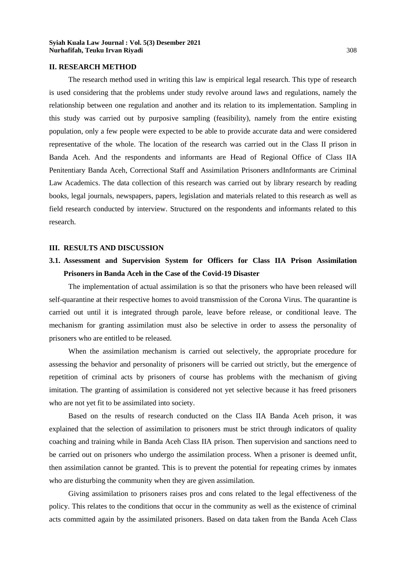#### **II. RESEARCH METHOD**

The research method used in writing this law is empirical legal research. This type of research is used considering that the problems under study revolve around laws and regulations, namely the relationship between one regulation and another and its relation to its implementation. Sampling in this study was carried out by purposive sampling (feasibility), namely from the entire existing population, only a few people were expected to be able to provide accurate data and were considered representative of the whole. The location of the research was carried out in the Class II prison in Banda Aceh. And the respondents and informants are Head of Regional Office of Class IIA Penitentiary Banda Aceh, Correctional Staff and Assimilation Prisoners andInformants are Criminal Law Academics. The data collection of this research was carried out by library research by reading books, legal journals, newspapers, papers, legislation and materials related to this research as well as field research conducted by interview. Structured on the respondents and informants related to this research.

#### **III. RESULTS AND DISCUSSION**

## **3.1. Assessment and Supervision System for Officers for Class IIA Prison Assimilation Prisoners in Banda Aceh in the Case of the Covid-19 Disaster**

The implementation of actual assimilation is so that the prisoners who have been released will self-quarantine at their respective homes to avoid transmission of the Corona Virus. The quarantine is carried out until it is integrated through parole, leave before release, or conditional leave. The mechanism for granting assimilation must also be selective in order to assess the personality of prisoners who are entitled to be released.

When the assimilation mechanism is carried out selectively, the appropriate procedure for assessing the behavior and personality of prisoners will be carried out strictly, but the emergence of repetition of criminal acts by prisoners of course has problems with the mechanism of giving imitation. The granting of assimilation is considered not yet selective because it has freed prisoners who are not yet fit to be assimilated into society.

Based on the results of research conducted on the Class IIA Banda Aceh prison, it was explained that the selection of assimilation to prisoners must be strict through indicators of quality coaching and training while in Banda Aceh Class IIA prison. Then supervision and sanctions need to be carried out on prisoners who undergo the assimilation process. When a prisoner is deemed unfit, then assimilation cannot be granted. This is to prevent the potential for repeating crimes by inmates who are disturbing the community when they are given assimilation.

Giving assimilation to prisoners raises pros and cons related to the legal effectiveness of the policy. This relates to the conditions that occur in the community as well as the existence of criminal acts committed again by the assimilated prisoners. Based on data taken from the Banda Aceh Class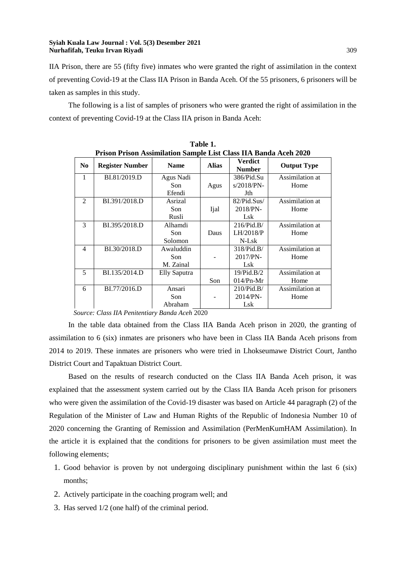IIA Prison, there are 55 (fifty five) inmates who were granted the right of assimilation in the context of preventing Covid-19 at the Class IIA Prison in Banda Aceh. Of the 55 prisoners, 6 prisoners will be taken as samples in this study.

The following is a list of samples of prisoners who were granted the right of assimilation in the context of preventing Covid-19 at the Class IIA prison in Banda Aceh:

| <b>Prison Prison Assimilation Sample List Class IIA Banda Aceh 2020</b> |                        |              |              |                                 |                    |
|-------------------------------------------------------------------------|------------------------|--------------|--------------|---------------------------------|--------------------|
| N <sub>0</sub>                                                          | <b>Register Number</b> | <b>Name</b>  | <b>Alias</b> | <b>Verdict</b><br><b>Number</b> | <b>Output Type</b> |
| 1                                                                       | BI.81/2019.D           | Agus Nadi    |              | 386/Pid.Su                      | Assimilation at    |
|                                                                         |                        | Son          | Agus         | $s/2018$ /PN-                   | Home               |
|                                                                         |                        | Efendi       |              | Jth                             |                    |
| $\overline{2}$                                                          | BI.391/2018.D          | Asrizal      |              | 82/Pid.Sus/                     | Assimilation at    |
|                                                                         |                        | Son          | Ijal         | 2018/PN-                        | Home               |
|                                                                         |                        | Rusli        |              | Lsk                             |                    |
| 3                                                                       | BI.395/2018.D          | Alhamdi      |              | 216/Pid.B/                      | Assimilation at    |
|                                                                         |                        | Son          | Daus         | LH/2018/P                       | Home               |
|                                                                         |                        | Solomon      |              | N-Lsk                           |                    |
| $\overline{\mathcal{A}}$                                                | BI.30/2018.D           | Awaluddin    |              | 318/Pid.B/                      | Assimilation at    |
|                                                                         |                        | Son          |              | 2017/PN-                        | Home               |
|                                                                         |                        | M. Zainal    |              | Lsk                             |                    |
| 5                                                                       | BI.135/2014.D          | Elly Saputra |              | 19/Pid.B/2                      | Assimilation at    |
|                                                                         |                        |              | Son          | $014/Pn-Mr$                     | Home               |
| 6                                                                       | BI.77/2016.D           | Ansari       |              | 210/Pid.B/                      | Assimilation at    |
|                                                                         |                        | Son          |              | 2014/PN-                        | Home               |
|                                                                         |                        | Abraham      |              | Lsk                             |                    |

**Table 1.**

*Source: Class IIA Penitentiary Banda Aceh* 2020

In the table data obtained from the Class IIA Banda Aceh prison in 2020, the granting of assimilation to 6 (six) inmates are prisoners who have been in Class IIA Banda Aceh prisons from 2014 to 2019. These inmates are prisoners who were tried in Lhokseumawe District Court, Jantho District Court and Tapaktuan District Court.

Based on the results of research conducted on the Class IIA Banda Aceh prison, it was explained that the assessment system carried out by the Class IIA Banda Aceh prison for prisoners who were given the assimilation of the Covid-19 disaster was based on Article 44 paragraph (2) of the Regulation of the Minister of Law and Human Rights of the Republic of Indonesia Number 10 of 2020 concerning the Granting of Remission and Assimilation (PerMenKumHAM Assimilation). In the article it is explained that the conditions for prisoners to be given assimilation must meet the following elements;

- 1. Good behavior is proven by not undergoing disciplinary punishment within the last 6 (six) months;
- 2. Actively participate in the coaching program well; and
- 3. Has served 1/2 (one half) of the criminal period.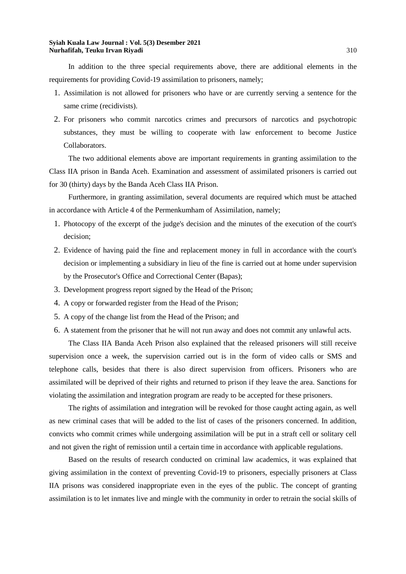In addition to the three special requirements above, there are additional elements in the requirements for providing Covid-19 assimilation to prisoners, namely;

- 1. Assimilation is not allowed for prisoners who have or are currently serving a sentence for the same crime (recidivists).
- 2. For prisoners who commit narcotics crimes and precursors of narcotics and psychotropic substances, they must be willing to cooperate with law enforcement to become Justice Collaborators.

The two additional elements above are important requirements in granting assimilation to the Class IIA prison in Banda Aceh. Examination and assessment of assimilated prisoners is carried out for 30 (thirty) days by the Banda Aceh Class IIA Prison.

Furthermore, in granting assimilation, several documents are required which must be attached in accordance with Article 4 of the Permenkumham of Assimilation, namely;

- 1. Photocopy of the excerpt of the judge's decision and the minutes of the execution of the court's decision;
- 2. Evidence of having paid the fine and replacement money in full in accordance with the court's decision or implementing a subsidiary in lieu of the fine is carried out at home under supervision by the Prosecutor's Office and Correctional Center (Bapas);
- 3. Development progress report signed by the Head of the Prison;
- 4. A copy or forwarded register from the Head of the Prison;
- 5. A copy of the change list from the Head of the Prison; and
- 6. A statement from the prisoner that he will not run away and does not commit any unlawful acts.

The Class IIA Banda Aceh Prison also explained that the released prisoners will still receive supervision once a week, the supervision carried out is in the form of video calls or SMS and telephone calls, besides that there is also direct supervision from officers. Prisoners who are assimilated will be deprived of their rights and returned to prison if they leave the area. Sanctions for violating the assimilation and integration program are ready to be accepted for these prisoners.

The rights of assimilation and integration will be revoked for those caught acting again, as well as new criminal cases that will be added to the list of cases of the prisoners concerned. In addition, convicts who commit crimes while undergoing assimilation will be put in a straft cell or solitary cell and not given the right of remission until a certain time in accordance with applicable regulations.

Based on the results of research conducted on criminal law academics, it was explained that giving assimilation in the context of preventing Covid-19 to prisoners, especially prisoners at Class IIA prisons was considered inappropriate even in the eyes of the public. The concept of granting assimilation is to let inmates live and mingle with the community in order to retrain the social skills of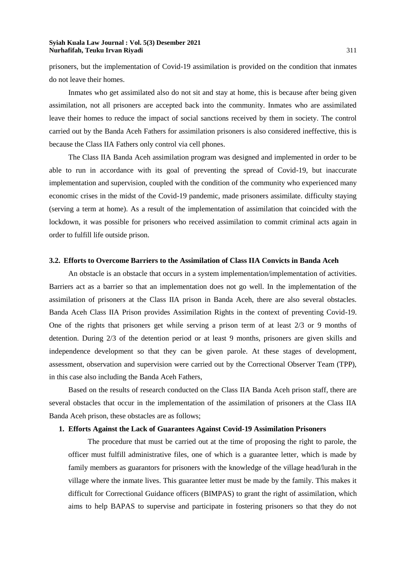prisoners, but the implementation of Covid-19 assimilation is provided on the condition that inmates do not leave their homes.

Inmates who get assimilated also do not sit and stay at home, this is because after being given assimilation, not all prisoners are accepted back into the community. Inmates who are assimilated leave their homes to reduce the impact of social sanctions received by them in society. The control carried out by the Banda Aceh Fathers for assimilation prisoners is also considered ineffective, this is because the Class IIA Fathers only control via cell phones.

The Class IIA Banda Aceh assimilation program was designed and implemented in order to be able to run in accordance with its goal of preventing the spread of Covid-19, but inaccurate implementation and supervision, coupled with the condition of the community who experienced many economic crises in the midst of the Covid-19 pandemic, made prisoners assimilate. difficulty staying (serving a term at home). As a result of the implementation of assimilation that coincided with the lockdown, it was possible for prisoners who received assimilation to commit criminal acts again in order to fulfill life outside prison.

#### **3.2. Efforts to Overcome Barriers to the Assimilation of Class IIA Convicts in Banda Aceh**

An obstacle is an obstacle that occurs in a system implementation/implementation of activities. Barriers act as a barrier so that an implementation does not go well. In the implementation of the assimilation of prisoners at the Class IIA prison in Banda Aceh, there are also several obstacles. Banda Aceh Class IIA Prison provides Assimilation Rights in the context of preventing Covid-19. One of the rights that prisoners get while serving a prison term of at least 2/3 or 9 months of detention. During 2/3 of the detention period or at least 9 months, prisoners are given skills and independence development so that they can be given parole. At these stages of development, assessment, observation and supervision were carried out by the Correctional Observer Team (TPP), in this case also including the Banda Aceh Fathers,

Based on the results of research conducted on the Class IIA Banda Aceh prison staff, there are several obstacles that occur in the implementation of the assimilation of prisoners at the Class IIA Banda Aceh prison, these obstacles are as follows;

#### **1. Efforts Against the Lack of Guarantees Against Covid-19 Assimilation Prisoners**

The procedure that must be carried out at the time of proposing the right to parole, the officer must fulfill administrative files, one of which is a guarantee letter, which is made by family members as guarantors for prisoners with the knowledge of the village head/lurah in the village where the inmate lives. This guarantee letter must be made by the family. This makes it difficult for Correctional Guidance officers (BIMPAS) to grant the right of assimilation, which aims to help BAPAS to supervise and participate in fostering prisoners so that they do not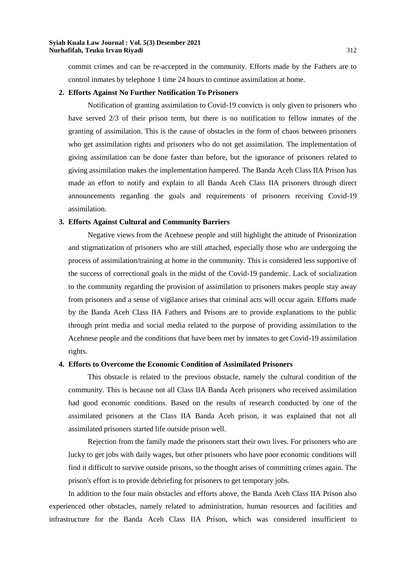commit crimes and can be re-accepted in the community. Efforts made by the Fathers are to control inmates by telephone 1 time 24 hours to continue assimilation at home.

#### **2. Efforts Against No Further Notification To Prisoners**

Notification of granting assimilation to Covid-19 convicts is only given to prisoners who have served 2/3 of their prison term, but there is no notification to fellow inmates of the granting of assimilation. This is the cause of obstacles in the form of chaos between prisoners who get assimilation rights and prisoners who do not get assimilation. The implementation of giving assimilation can be done faster than before, but the ignorance of prisoners related to giving assimilation makes the implementation hampered. The Banda Aceh Class IIA Prison has made an effort to notify and explain to all Banda Aceh Class IIA prisoners through direct announcements regarding the goals and requirements of prisoners receiving Covid-19 assimilation.

#### **3. Efforts Against Cultural and Community Barriers**

Negative views from the Acehnese people and still highlight the attitude of Prisonization and stigmatization of prisoners who are still attached, especially those who are undergoing the process of assimilation/training at home in the community. This is considered less supportive of the success of correctional goals in the midst of the Covid-19 pandemic. Lack of socialization to the community regarding the provision of assimilation to prisoners makes people stay away from prisoners and a sense of vigilance arises that criminal acts will occur again. Efforts made by the Banda Aceh Class IIA Fathers and Prisons are to provide explanations to the public through print media and social media related to the purpose of providing assimilation to the Acehnese people and the conditions that have been met by inmates to get Covid-19 assimilation rights.

#### **4. Efforts to Overcome the Economic Condition of Assimilated Prisoners**

This obstacle is related to the previous obstacle, namely the cultural condition of the community. This is because not all Class IIA Banda Aceh prisoners who received assimilation had good economic conditions. Based on the results of research conducted by one of the assimilated prisoners at the Class IIA Banda Aceh prison, it was explained that not all assimilated prisoners started life outside prison well.

Rejection from the family made the prisoners start their own lives. For prisoners who are lucky to get jobs with daily wages, but other prisoners who have poor economic conditions will find it difficult to survive outside prisons, so the thought arises of committing crimes again. The prison's effort is to provide debriefing for prisoners to get temporary jobs.

In addition to the four main obstacles and efforts above, the Banda Aceh Class IIA Prison also experienced other obstacles, namely related to administration, human resources and facilities and infrastructure for the Banda Aceh Class IIA Prison, which was considered insufficient to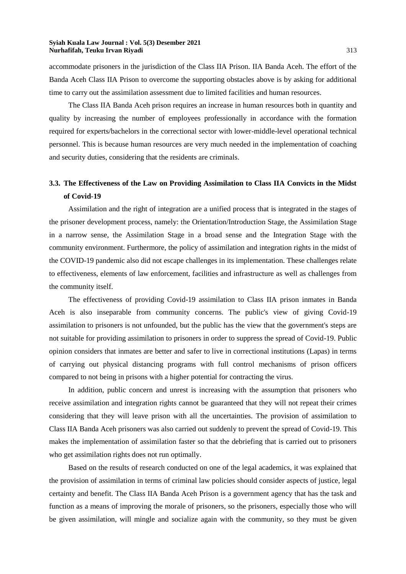accommodate prisoners in the jurisdiction of the Class IIA Prison. IIA Banda Aceh. The effort of the Banda Aceh Class IIA Prison to overcome the supporting obstacles above is by asking for additional time to carry out the assimilation assessment due to limited facilities and human resources.

The Class IIA Banda Aceh prison requires an increase in human resources both in quantity and quality by increasing the number of employees professionally in accordance with the formation required for experts/bachelors in the correctional sector with lower-middle-level operational technical personnel. This is because human resources are very much needed in the implementation of coaching and security duties, considering that the residents are criminals.

## **3.3. The Effectiveness of the Law on Providing Assimilation to Class IIA Convicts in the Midst of Covid-19**

Assimilation and the right of integration are a unified process that is integrated in the stages of the prisoner development process, namely: the Orientation/Introduction Stage, the Assimilation Stage in a narrow sense, the Assimilation Stage in a broad sense and the Integration Stage with the community environment. Furthermore, the policy of assimilation and integration rights in the midst of the COVID-19 pandemic also did not escape challenges in its implementation. These challenges relate to effectiveness, elements of law enforcement, facilities and infrastructure as well as challenges from the community itself.

The effectiveness of providing Covid-19 assimilation to Class IIA prison inmates in Banda Aceh is also inseparable from community concerns. The public's view of giving Covid-19 assimilation to prisoners is not unfounded, but the public has the view that the government's steps are not suitable for providing assimilation to prisoners in order to suppress the spread of Covid-19. Public opinion considers that inmates are better and safer to live in correctional institutions (Lapas) in terms of carrying out physical distancing programs with full control mechanisms of prison officers compared to not being in prisons with a higher potential for contracting the virus.

In addition, public concern and unrest is increasing with the assumption that prisoners who receive assimilation and integration rights cannot be guaranteed that they will not repeat their crimes considering that they will leave prison with all the uncertainties. The provision of assimilation to Class IIA Banda Aceh prisoners was also carried out suddenly to prevent the spread of Covid-19. This makes the implementation of assimilation faster so that the debriefing that is carried out to prisoners who get assimilation rights does not run optimally.

Based on the results of research conducted on one of the legal academics, it was explained that the provision of assimilation in terms of criminal law policies should consider aspects of justice, legal certainty and benefit. The Class IIA Banda Aceh Prison is a government agency that has the task and function as a means of improving the morale of prisoners, so the prisoners, especially those who will be given assimilation, will mingle and socialize again with the community, so they must be given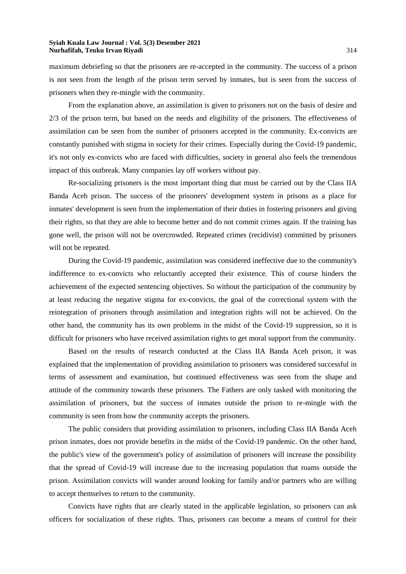maximum debriefing so that the prisoners are re-accepted in the community. The success of a prison is not seen from the length of the prison term served by inmates, but is seen from the success of prisoners when they re-mingle with the community.

From the explanation above, an assimilation is given to prisoners not on the basis of desire and 2/3 of the prison term, but based on the needs and eligibility of the prisoners. The effectiveness of assimilation can be seen from the number of prisoners accepted in the community. Ex-convicts are constantly punished with stigma in society for their crimes. Especially during the Covid-19 pandemic, it's not only ex-convicts who are faced with difficulties, society in general also feels the tremendous impact of this outbreak. Many companies lay off workers without pay.

Re-socializing prisoners is the most important thing that must be carried out by the Class IIA Banda Aceh prison. The success of the prisoners' development system in prisons as a place for inmates' development is seen from the implementation of their duties in fostering prisoners and giving their rights, so that they are able to become better and do not commit crimes again. If the training has gone well, the prison will not be overcrowded. Repeated crimes (recidivist) committed by prisoners will not be repeated.

During the Covid-19 pandemic, assimilation was considered ineffective due to the community's indifference to ex-convicts who reluctantly accepted their existence. This of course hinders the achievement of the expected sentencing objectives. So without the participation of the community by at least reducing the negative stigma for ex-convicts, the goal of the correctional system with the reintegration of prisoners through assimilation and integration rights will not be achieved. On the other hand, the community has its own problems in the midst of the Covid-19 suppression, so it is difficult for prisoners who have received assimilation rights to get moral support from the community.

Based on the results of research conducted at the Class IIA Banda Aceh prison, it was explained that the implementation of providing assimilation to prisoners was considered successful in terms of assessment and examination, but continued effectiveness was seen from the shape and attitude of the community towards these prisoners. The Fathers are only tasked with monitoring the assimilation of prisoners, but the success of inmates outside the prison to re-mingle with the community is seen from how the community accepts the prisoners.

The public considers that providing assimilation to prisoners, including Class IIA Banda Aceh prison inmates, does not provide benefits in the midst of the Covid-19 pandemic. On the other hand, the public's view of the government's policy of assimilation of prisoners will increase the possibility that the spread of Covid-19 will increase due to the increasing population that roams outside the prison. Assimilation convicts will wander around looking for family and/or partners who are willing to accept themselves to return to the community.

Convicts have rights that are clearly stated in the applicable legislation, so prisoners can ask officers for socialization of these rights. Thus, prisoners can become a means of control for their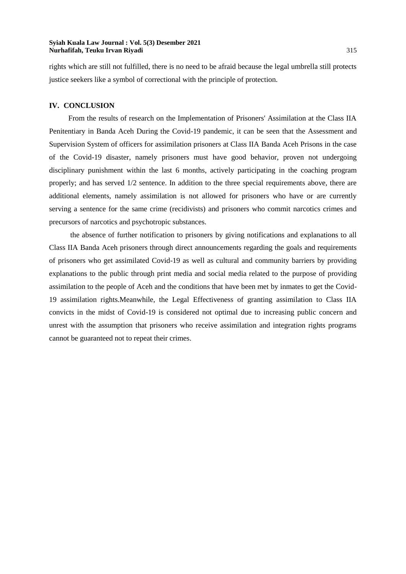rights which are still not fulfilled, there is no need to be afraid because the legal umbrella still protects justice seekers like a symbol of correctional with the principle of protection.

#### **IV. CONCLUSION**

From the results of research on the Implementation of Prisoners' Assimilation at the Class IIA Penitentiary in Banda Aceh During the Covid-19 pandemic, it can be seen that the Assessment and Supervision System of officers for assimilation prisoners at Class IIA Banda Aceh Prisons in the case of the Covid-19 disaster, namely prisoners must have good behavior, proven not undergoing disciplinary punishment within the last 6 months, actively participating in the coaching program properly; and has served 1/2 sentence. In addition to the three special requirements above, there are additional elements, namely assimilation is not allowed for prisoners who have or are currently serving a sentence for the same crime (recidivists) and prisoners who commit narcotics crimes and precursors of narcotics and psychotropic substances.

the absence of further notification to prisoners by giving notifications and explanations to all Class IIA Banda Aceh prisoners through direct announcements regarding the goals and requirements of prisoners who get assimilated Covid-19 as well as cultural and community barriers by providing explanations to the public through print media and social media related to the purpose of providing assimilation to the people of Aceh and the conditions that have been met by inmates to get the Covid-19 assimilation rights.Meanwhile, the Legal Effectiveness of granting assimilation to Class IIA convicts in the midst of Covid-19 is considered not optimal due to increasing public concern and unrest with the assumption that prisoners who receive assimilation and integration rights programs cannot be guaranteed not to repeat their crimes.